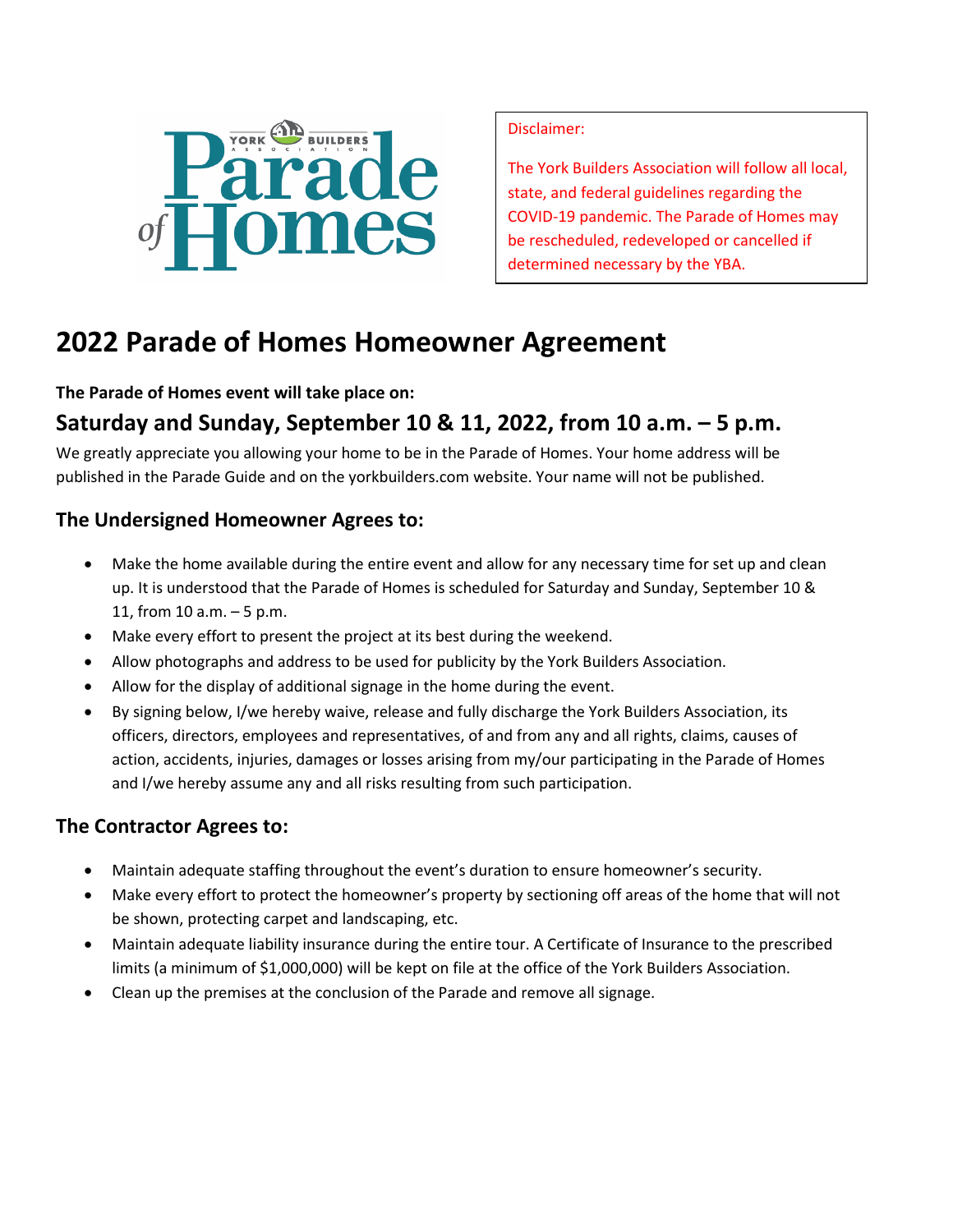

Disclaimer:

The York Builders Association will follow all local, state, and federal guidelines regarding the COVID-19 pandemic. The Parade of Homes may be rescheduled, redeveloped or cancelled if determined necessary by the YBA.

# **2022 Parade of Homes Homeowner Agreement**

#### **The Parade of Homes event will take place on:**

## **Saturday and Sunday, September 10 & 11, 2022, from 10 a.m. – 5 p.m.**

We greatly appreciate you allowing your home to be in the Parade of Homes. Your home address will be published in the Parade Guide and on the yorkbuilders.com website. Your name will not be published.

### **The Undersigned Homeowner Agrees to:**

- Make the home available during the entire event and allow for any necessary time for set up and clean up. It is understood that the Parade of Homes is scheduled for Saturday and Sunday, September 10 & 11, from 10 a.m. – 5 p.m.
- Make every effort to present the project at its best during the weekend.
- Allow photographs and address to be used for publicity by the York Builders Association.
- Allow for the display of additional signage in the home during the event.
- By signing below, I/we hereby waive, release and fully discharge the York Builders Association, its officers, directors, employees and representatives, of and from any and all rights, claims, causes of action, accidents, injuries, damages or losses arising from my/our participating in the Parade of Homes and I/we hereby assume any and all risks resulting from such participation.

### **The Contractor Agrees to:**

- Maintain adequate staffing throughout the event's duration to ensure homeowner's security.
- Make every effort to protect the homeowner's property by sectioning off areas of the home that will not be shown, protecting carpet and landscaping, etc.
- Maintain adequate liability insurance during the entire tour. A Certificate of Insurance to the prescribed limits (a minimum of \$1,000,000) will be kept on file at the office of the York Builders Association.
- Clean up the premises at the conclusion of the Parade and remove all signage.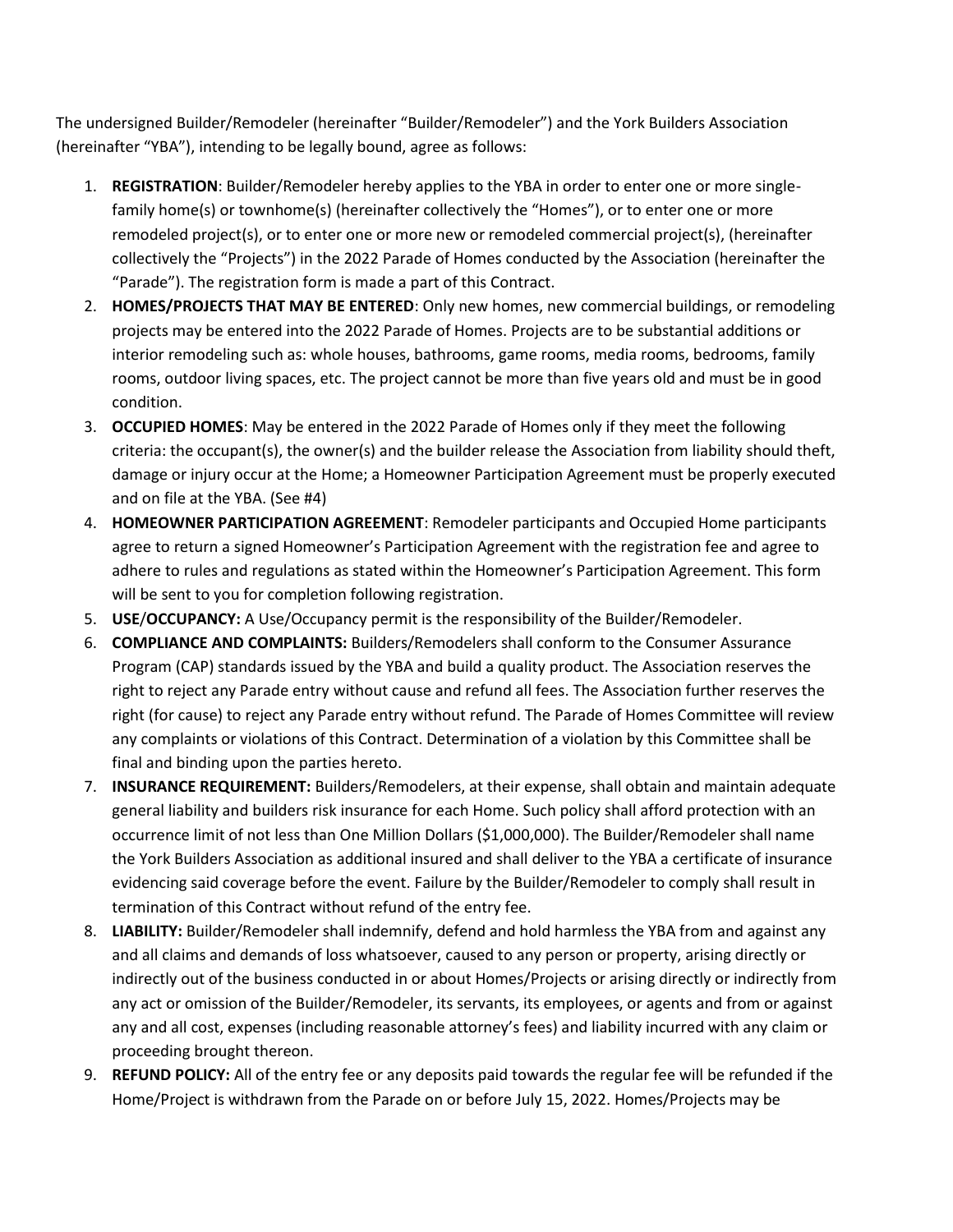The undersigned Builder/Remodeler (hereinafter "Builder/Remodeler") and the York Builders Association (hereinafter "YBA"), intending to be legally bound, agree as follows:

- 1. **REGISTRATION**: Builder/Remodeler hereby applies to the YBA in order to enter one or more singlefamily home(s) or townhome(s) (hereinafter collectively the "Homes"), or to enter one or more remodeled project(s), or to enter one or more new or remodeled commercial project(s), (hereinafter collectively the "Projects") in the 2022 Parade of Homes conducted by the Association (hereinafter the "Parade"). The registration form is made a part of this Contract.
- 2. **HOMES/PROJECTS THAT MAY BE ENTERED**: Only new homes, new commercial buildings, or remodeling projects may be entered into the 2022 Parade of Homes. Projects are to be substantial additions or interior remodeling such as: whole houses, bathrooms, game rooms, media rooms, bedrooms, family rooms, outdoor living spaces, etc. The project cannot be more than five years old and must be in good condition.
- 3. **OCCUPIED HOMES**: May be entered in the 2022 Parade of Homes only if they meet the following criteria: the occupant(s), the owner(s) and the builder release the Association from liability should theft, damage or injury occur at the Home; a Homeowner Participation Agreement must be properly executed and on file at the YBA. (See #4)
- 4. **HOMEOWNER PARTICIPATION AGREEMENT**: Remodeler participants and Occupied Home participants agree to return a signed Homeowner's Participation Agreement with the registration fee and agree to adhere to rules and regulations as stated within the Homeowner's Participation Agreement. This form will be sent to you for completion following registration.
- 5. **USE**/**OCCUPANCY:** A Use/Occupancy permit is the responsibility of the Builder/Remodeler.
- 6. **COMPLIANCE AND COMPLAINTS:** Builders/Remodelers shall conform to the Consumer Assurance Program (CAP) standards issued by the YBA and build a quality product. The Association reserves the right to reject any Parade entry without cause and refund all fees. The Association further reserves the right (for cause) to reject any Parade entry without refund. The Parade of Homes Committee will review any complaints or violations of this Contract. Determination of a violation by this Committee shall be final and binding upon the parties hereto.
- 7. **INSURANCE REQUIREMENT:** Builders/Remodelers, at their expense, shall obtain and maintain adequate general liability and builders risk insurance for each Home. Such policy shall afford protection with an occurrence limit of not less than One Million Dollars (\$1,000,000). The Builder/Remodeler shall name the York Builders Association as additional insured and shall deliver to the YBA a certificate of insurance evidencing said coverage before the event. Failure by the Builder/Remodeler to comply shall result in termination of this Contract without refund of the entry fee.
- 8. **LIABILITY:** Builder/Remodeler shall indemnify, defend and hold harmless the YBA from and against any and all claims and demands of loss whatsoever, caused to any person or property, arising directly or indirectly out of the business conducted in or about Homes/Projects or arising directly or indirectly from any act or omission of the Builder/Remodeler, its servants, its employees, or agents and from or against any and all cost, expenses (including reasonable attorney's fees) and liability incurred with any claim or proceeding brought thereon.
- 9. **REFUND POLICY:** All of the entry fee or any deposits paid towards the regular fee will be refunded if the Home/Project is withdrawn from the Parade on or before July 15, 2022. Homes/Projects may be